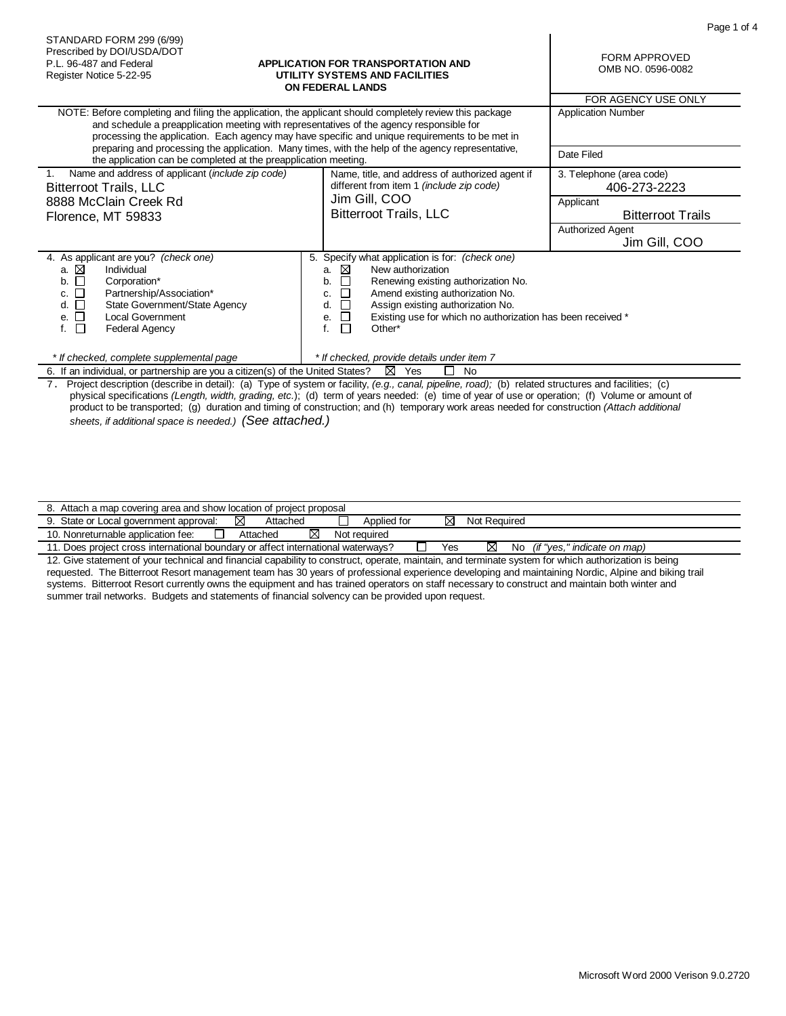|                                                                                                                                                                                                                                                               |                                                                                                                                                                                                                                                                                                                                           | гау <del>с</del> I и                                  |
|---------------------------------------------------------------------------------------------------------------------------------------------------------------------------------------------------------------------------------------------------------------|-------------------------------------------------------------------------------------------------------------------------------------------------------------------------------------------------------------------------------------------------------------------------------------------------------------------------------------------|-------------------------------------------------------|
| STANDARD FORM 299 (6/99)<br>Prescribed by DOI/USDA/DOT<br>P.L. 96-487 and Federal<br>Register Notice 5-22-95                                                                                                                                                  | <b>APPLICATION FOR TRANSPORTATION AND</b><br>UTILITY SYSTEMS AND FACILITIES<br><b>ON FEDERAL LANDS</b>                                                                                                                                                                                                                                    | FORM APPROVED<br>OMB NO. 0596-0082                    |
|                                                                                                                                                                                                                                                               |                                                                                                                                                                                                                                                                                                                                           | FOR AGENCY USE ONLY                                   |
|                                                                                                                                                                                                                                                               | NOTE: Before completing and filing the application, the applicant should completely review this package<br>and schedule a preapplication meeting with representatives of the agency responsible for<br>processing the application. Each agency may have specific and unique requirements to be met in                                     | <b>Application Number</b>                             |
| the application can be completed at the preapplication meeting.                                                                                                                                                                                               | preparing and processing the application. Many times, with the help of the agency representative,                                                                                                                                                                                                                                         | Date Filed                                            |
| Name and address of applicant (include zip code)<br><b>Bitterroot Trails, LLC</b><br>8888 McClain Creek Rd                                                                                                                                                    | Name, title, and address of authorized agent if<br>different from item 1 (include zip code)<br>Jim Gill, COO                                                                                                                                                                                                                              | 3. Telephone (area code)<br>406-273-2223<br>Applicant |
| Florence, MT 59833                                                                                                                                                                                                                                            | <b>Bitterroot Trails, LLC</b>                                                                                                                                                                                                                                                                                                             | <b>Bitterroot Trails</b>                              |
|                                                                                                                                                                                                                                                               |                                                                                                                                                                                                                                                                                                                                           | Authorized Agent<br>Jim Gill, COO                     |
| 4. As applicant are you? (check one)<br>a. ⊠<br>Individual<br>b. □<br>Corporation*<br>c. $\Box$<br>Partnership/Association*<br>d. $\Box$<br>State Government/State Agency<br>e. $\square$<br><b>Local Government</b><br>$\Box$<br>f.<br><b>Federal Agency</b> | 5. Specify what application is for: (check one)<br>⊠<br>New authorization<br>a.<br>$\Box$<br>b.<br>Renewing existing authorization No.<br>□<br>Amend existing authorization No.<br>c.<br>$\Box$<br>Assign existing authorization No.<br>d.<br>□<br>Existing use for which no authorization has been received *<br>е.<br>□<br>f.<br>Other* |                                                       |
| * If also also al concertato computamental non                                                                                                                                                                                                                | * If also also al repeatale algebrate considerations 7                                                                                                                                                                                                                                                                                    |                                                       |

 *\* If checked, complete supplemental page \* If checked, provide details under item 7* 6. If an individual, or partnership are you a citizen(s) of the United States?  $\boxtimes$  Yes  $\quad \Box$  No

7. Project description (describe in detail): (a) Type of system or facility, *(e.g., canal, pipeline, road);* (b) related structures and facilities; (c) physical specifications *(Length, width, grading, etc.*); (d) term of years needed: (e) time of year of use or operation; (f) Volume or amount of product to be transported; (g) duration and timing of construction; and (h) temporary work areas needed for construction *(Attach additional sheets, if additional space is needed.) (See attached.)*

| . Attach a map covering area and show location of project proposal             |               |              |     |                    |                             |  |  |
|--------------------------------------------------------------------------------|---------------|--------------|-----|--------------------|-----------------------------|--|--|
| State or Local government approval:                                            | Attached<br>M | Applied for  | ⊠   | Not Required       |                             |  |  |
| 10. Nonreturnable application fee:                                             | Attached      | Not required |     |                    |                             |  |  |
| . Does project cross international boundary or affect international waterways? |               |              | Yes | $\boxtimes$<br>No. | (if "yes," indicate on map) |  |  |

12. Give statement of your technical and financial capability to construct, operate, maintain, and terminate system for which authorization is being requested. The Bitterroot Resort management team has 30 years of professional experience developing and maintaining Nordic, Alpine and biking trail systems. Bitterroot Resort currently owns the equipment and has trained operators on staff necessary to construct and maintain both winter and summer trail networks. Budgets and statements of financial solvency can be provided upon request.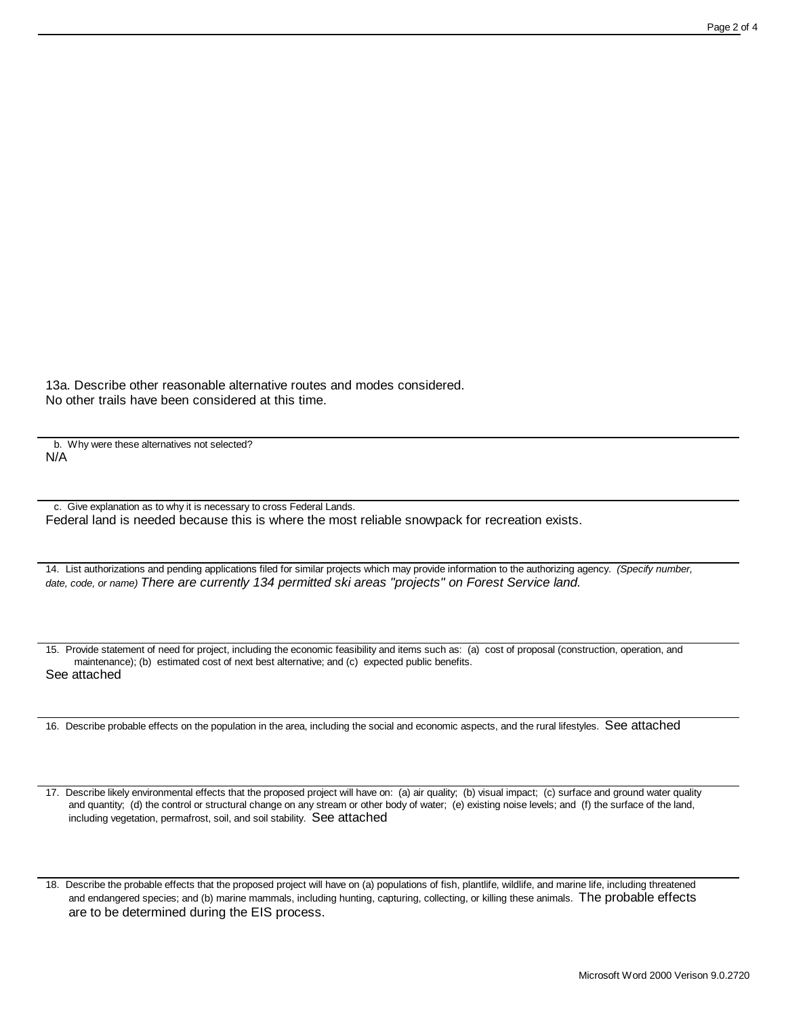13a. Describe other reasonable alternative routes and modes considered. No other trails have been considered at this time.

 b. Why were these alternatives not selected? N/A

 c. Give explanation as to why it is necessary to cross Federal Lands. Federal land is needed because this is where the most reliable snowpack for recreation exists.

14. List authorizations and pending applications filed for similar projects which may provide information to the authorizing agency. *(Specify number, date, code, or name) There are currently 134 permitted ski areas "projects" on Forest Service land.*

15. Provide statement of need for project, including the economic feasibility and items such as: (a) cost of proposal (construction, operation, and maintenance); (b) estimated cost of next best alternative; and (c) expected public benefits. See attached

16. Describe probable effects on the population in the area, including the social and economic aspects, and the rural lifestyles. See attached

17. Describe likely environmental effects that the proposed project will have on: (a) air quality; (b) visual impact; (c) surface and ground water quality and quantity; (d) the control or structural change on any stream or other body of water; (e) existing noise levels; and (f) the surface of the land, including vegetation, permafrost, soil, and soil stability. See attached

18. Describe the probable effects that the proposed project will have on (a) populations of fish, plantlife, wildlife, and marine life, including threatened and endangered species; and (b) marine mammals, including hunting, capturing, collecting, or killing these animals. The probable effects are to be determined during the EIS process.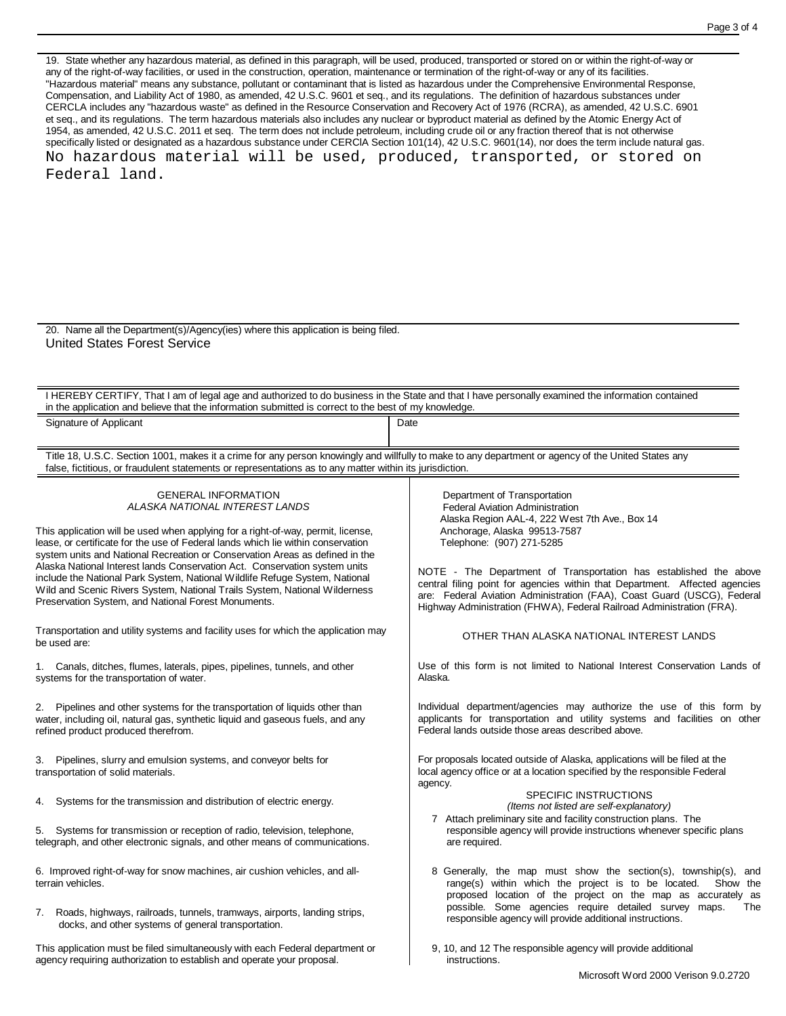19. State whether any hazardous material, as defined in this paragraph, will be used, produced, transported or stored on or within the right-of-way or any of the right-of-way facilities, or used in the construction, operation, maintenance or termination of the right-of-way or any of its facilities. "Hazardous material" means any substance, pollutant or contaminant that is listed as hazardous under the Comprehensive Environmental Response, Compensation, and Liability Act of 1980, as amended, 42 U.S.C. 9601 et seq., and its regulations. The definition of hazardous substances under CERCLA includes any "hazardous waste" as defined in the Resource Conservation and Recovery Act of 1976 (RCRA), as amended, 42 U.S.C. 6901 et seq., and its regulations. The term hazardous materials also includes any nuclear or byproduct material as defined by the Atomic Energy Act of 1954, as amended, 42 U.S.C. 2011 et seq. The term does not include petroleum, including crude oil or any fraction thereof that is not otherwise specifically listed or designated as a hazardous substance under CERCIA Section 101(14), 42 U.S.C. 9601(14), nor does the term include natural gas. No hazardous material will be used, produced, transported, or stored on Federal land.

20. Name all the Department(s)/Agency(ies) where this application is being filed. United States Forest Service

I HEREBY CERTIFY, That I am of legal age and authorized to do business in the State and that I have personally examined the information contained in the application and believe that the information submitted is correct to the best of my knowledge.

Signature of Applicant Date Date Contract Contract Date Date

Title 18, U.S.C. Section 1001, makes it a crime for any person knowingly and willfully to make to any department or agency of the United States any false, fictitious, or fraudulent statements or representations as to any matter within its jurisdiction.

> GENERAL INFORMATION *ALASKA NATIONAL INTEREST LANDS*

This application will be used when applying for a right-of-way, permit, license, lease, or certificate for the use of Federal lands which lie within conservation system units and National Recreation or Conservation Areas as defined in the Alaska National Interest lands Conservation Act. Conservation system units include the National Park System, National Wildlife Refuge System, National Wild and Scenic Rivers System, National Trails System, National Wilderness Preservation System, and National Forest Monuments.

Transportation and utility systems and facility uses for which the application may be used are:

1. Canals, ditches, flumes, laterals, pipes, pipelines, tunnels, and other systems for the transportation of water.

2. Pipelines and other systems for the transportation of liquids other than water, including oil, natural gas, synthetic liquid and gaseous fuels, and any refined product produced therefrom.

3. Pipelines, slurry and emulsion systems, and conveyor belts for transportation of solid materials.

4. Systems for the transmission and distribution of electric energy.

5. Systems for transmission or reception of radio, television, telephone, telegraph, and other electronic signals, and other means of communications.

6. Improved right-of-way for snow machines, air cushion vehicles, and allterrain vehicles.

7. Roads, highways, railroads, tunnels, tramways, airports, landing strips, docks, and other systems of general transportation.

This application must be filed simultaneously with each Federal department or agency requiring authorization to establish and operate your proposal.

 Department of Transportation Federal Aviation Administration Alaska Region AAL-4, 222 West 7th Ave., Box 14 Anchorage, Alaska 99513-7587 Telephone: (907) 271-5285

NOTE - The Department of Transportation has established the above central filing point for agencies within that Department. Affected agencies are: Federal Aviation Administration (FAA), Coast Guard (USCG), Federal Highway Administration (FHWA), Federal Railroad Administration (FRA).

OTHER THAN ALASKA NATIONAL INTEREST LANDS

Use of this form is not limited to National Interest Conservation Lands of Alaska.

Individual department/agencies may authorize the use of this form by applicants for transportation and utility systems and facilities on other Federal lands outside those areas described above.

For proposals located outside of Alaska, applications will be filed at the local agency office or at a location specified by the responsible Federal agency.

## SPECIFIC INSTRUCTIONS

*(Items not listed are self-explanatory)*

- 7 Attach preliminary site and facility construction plans. The responsible agency will provide instructions whenever specific plans are required.
- 8 Generally, the map must show the section(s), township(s), and range(s) within which the project is to be located. Show the proposed location of the project on the map as accurately as possible. Some agencies require detailed survey maps. The responsible agency will provide additional instructions.
- 9, 10, and 12 The responsible agency will provide additional instructions.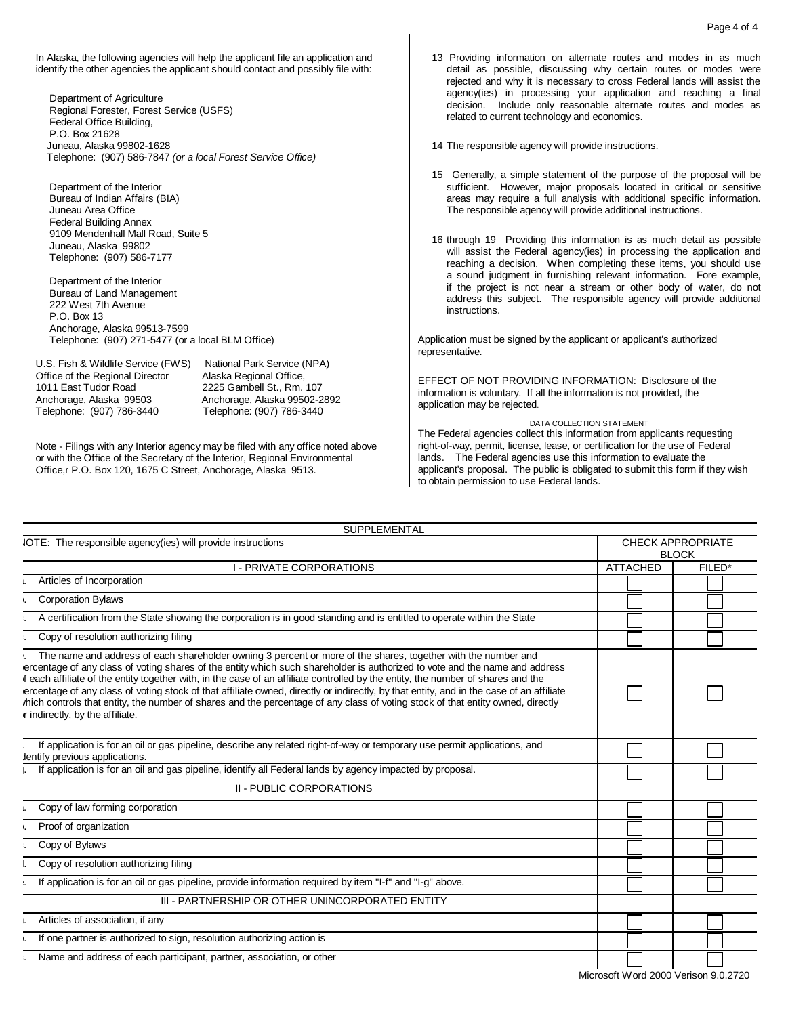In Alaska, the following agencies will help the applicant file an application and identify the other agencies the applicant should contact and possibly file with:

 Department of Agriculture Regional Forester, Forest Service (USFS) Federal Office Building, P.O. Box 21628 Juneau, Alaska 99802-1628 Telephone: (907) 586-7847 *(or a local Forest Service Office)*

 Department of the Interior Bureau of Indian Affairs (BIA) Juneau Area Office Federal Building Annex 9109 Mendenhall Mall Road, Suite 5 Juneau, Alaska 99802 Telephone: (907) 586-7177

 Department of the Interior Bureau of Land Management 222 West 7th Avenue P.O. Box 13 Anchorage, Alaska 99513-7599 Telephone: (907) 271-5477 (or a local BLM Office)

U.S. Fish & Wildlife Service (FWS) National Park Service (NPA)<br>Office of the Regional Director Alaska Regional Office, Office of the Regional Director<br>1011 East Tudor Road Anchorage, Alaska 99503 Anchorage, Alaska 99502-2892 Telephone: (907) 786-3440 Telephone: (907) 786-3440

2225 Gambell St., Rm. 107

Note - Filings with any Interior agency may be filed with any office noted above or with the Office of the Secretary of the Interior, Regional Environmental Office,r P.O. Box 120, 1675 C Street, Anchorage, Alaska 9513.

 13 Providing information on alternate routes and modes in as much detail as possible, discussing why certain routes or modes were rejected and why it is necessary to cross Federal lands will assist the agency(ies) in processing your application and reaching a final decision. Include only reasonable alternate routes and modes as related to current technology and economics.

14 The responsible agency will provide instructions.

- 15 Generally, a simple statement of the purpose of the proposal will be sufficient. However, major proposals located in critical or sensitive areas may require a full analysis with additional specific information. The responsible agency will provide additional instructions.
- 16 through 19 Providing this information is as much detail as possible will assist the Federal agency(ies) in processing the application and reaching a decision. When completing these items, you should use a sound judgment in furnishing relevant information. Fore example, if the project is not near a stream or other body of water, do not address this subject. The responsible agency will provide additional instructions.

Application must be signed by the applicant or applicant's authorized representative.

EFFECT OF NOT PROVIDING INFORMATION: Disclosure of the information is voluntary. If all the information is not provided, the application may be rejected.

DATA COLLECTION STATEMENT The Federal agencies collect this information from applicants requesting right-of-way, permit, license, lease, or certification for the use of Federal lands. The Federal agencies use this information to evaluate the applicant's proposal. The public is obligated to submit this form if they wish to obtain permission to use Federal lands.

| <b>SUPPLEMENTAL</b>                                                                                                                                                                                                                                                                                                                                                                                                                                                                                                                                                                                                                                                                                |                                          |        |
|----------------------------------------------------------------------------------------------------------------------------------------------------------------------------------------------------------------------------------------------------------------------------------------------------------------------------------------------------------------------------------------------------------------------------------------------------------------------------------------------------------------------------------------------------------------------------------------------------------------------------------------------------------------------------------------------------|------------------------------------------|--------|
| IOTE: The responsible agency(ies) will provide instructions                                                                                                                                                                                                                                                                                                                                                                                                                                                                                                                                                                                                                                        | <b>CHECK APPROPRIATE</b><br><b>BLOCK</b> |        |
| I - PRIVATE CORPORATIONS                                                                                                                                                                                                                                                                                                                                                                                                                                                                                                                                                                                                                                                                           | <b>ATTACHED</b>                          | FILED* |
| Articles of Incorporation                                                                                                                                                                                                                                                                                                                                                                                                                                                                                                                                                                                                                                                                          |                                          |        |
| <b>Corporation Bylaws</b>                                                                                                                                                                                                                                                                                                                                                                                                                                                                                                                                                                                                                                                                          |                                          |        |
| A certification from the State showing the corporation is in good standing and is entitled to operate within the State                                                                                                                                                                                                                                                                                                                                                                                                                                                                                                                                                                             |                                          |        |
| Copy of resolution authorizing filing                                                                                                                                                                                                                                                                                                                                                                                                                                                                                                                                                                                                                                                              |                                          |        |
| . The name and address of each shareholder owning 3 percent or more of the shares, together with the number and<br>ercentage of any class of voting shares of the entity which such shareholder is authorized to vote and the name and address<br>f each affiliate of the entity together with, in the case of an affiliate controlled by the entity, the number of shares and the<br>ercentage of any class of voting stock of that affiliate owned, directly or indirectly, by that entity, and in the case of an affiliate<br>hich controls that entity, the number of shares and the percentage of any class of voting stock of that entity owned, directly<br>r indirectly, by the affiliate. |                                          |        |
| If application is for an oil or gas pipeline, describe any related right-of-way or temporary use permit applications, and<br>dentify previous applications.                                                                                                                                                                                                                                                                                                                                                                                                                                                                                                                                        |                                          |        |
| If application is for an oil and gas pipeline, identify all Federal lands by agency impacted by proposal.                                                                                                                                                                                                                                                                                                                                                                                                                                                                                                                                                                                          |                                          |        |
| II - PUBLIC CORPORATIONS                                                                                                                                                                                                                                                                                                                                                                                                                                                                                                                                                                                                                                                                           |                                          |        |
| Copy of law forming corporation                                                                                                                                                                                                                                                                                                                                                                                                                                                                                                                                                                                                                                                                    |                                          |        |
| Proof of organization                                                                                                                                                                                                                                                                                                                                                                                                                                                                                                                                                                                                                                                                              |                                          |        |
| Copy of Bylaws                                                                                                                                                                                                                                                                                                                                                                                                                                                                                                                                                                                                                                                                                     |                                          |        |
| Copy of resolution authorizing filing                                                                                                                                                                                                                                                                                                                                                                                                                                                                                                                                                                                                                                                              |                                          |        |
| If application is for an oil or gas pipeline, provide information required by item "I-f" and "I-g" above.                                                                                                                                                                                                                                                                                                                                                                                                                                                                                                                                                                                          |                                          |        |
| III - PARTNERSHIP OR OTHER UNINCORPORATED ENTITY                                                                                                                                                                                                                                                                                                                                                                                                                                                                                                                                                                                                                                                   |                                          |        |
| Articles of association, if any                                                                                                                                                                                                                                                                                                                                                                                                                                                                                                                                                                                                                                                                    |                                          |        |
| If one partner is authorized to sign, resolution authorizing action is                                                                                                                                                                                                                                                                                                                                                                                                                                                                                                                                                                                                                             |                                          |        |
| Name and address of each participant, partner, association, or other                                                                                                                                                                                                                                                                                                                                                                                                                                                                                                                                                                                                                               |                                          |        |